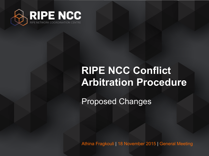

#### **RIPE NCC Conflict Arbitration Procedure**

Proposed Changes

Athina Fragkouli | 18 November 2015 | General Meeting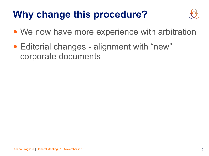## **Why change this procedure?**



- We now have more experience with arbitration
- Editorial changes alignment with "new" corporate documents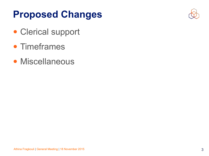### **Proposed Changes**



- Clerical support
- Timeframes
- Miscellaneous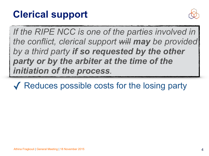#### **Clerical support**



If the RIPE NCC is one of the parties involved in *the conflict, clerical support will may be provided by a third party if so requested by the other party or by the arbiter at the time of the initiation of the process.*

✓ Reduces possible costs for the losing party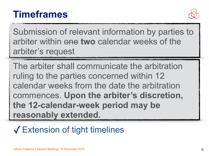#### **Timeframes**



Submission of relevant information by parties to arbiter within one **two** calendar weeks of the arbiter's request

The arbiter shall communicate the arbitration ruling to the parties concerned within 12 calendar weeks from the date the arbitration commences. **Upon the arbiter's discretion, the 12-calendar-week period may be reasonably extended.**

#### ✓Extension of tight timelines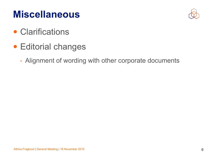#### **Miscellaneous**



- Clarifications
- Editorial changes
	- Alignment of wording with other corporate documents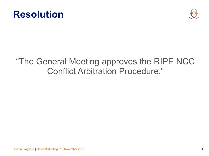



#### "The General Meeting approves the RIPE NCC Conflict Arbitration Procedure."